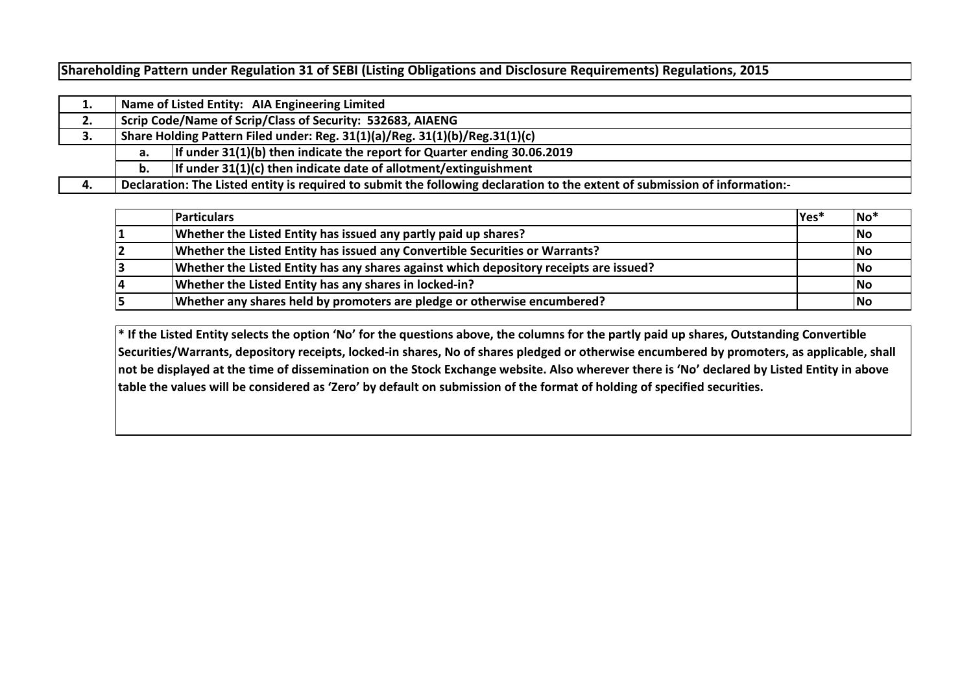**Shareholding Pattern under Regulation 31 of SEBI (Listing Obligations and Disclosure Requirements) Regulations, 2015**

|    |    | Name of Listed Entity: AIA Engineering Limited                                                                              |  |  |  |  |  |  |  |  |  |  |  |  |
|----|----|-----------------------------------------------------------------------------------------------------------------------------|--|--|--|--|--|--|--|--|--|--|--|--|
| 2. |    | Scrip Code/Name of Scrip/Class of Security: 532683, AIAENG                                                                  |  |  |  |  |  |  |  |  |  |  |  |  |
| 3. |    | Share Holding Pattern Filed under: Reg. 31(1)(a)/Reg. 31(1)(b)/Reg.31(1)(c)                                                 |  |  |  |  |  |  |  |  |  |  |  |  |
|    | а. | If under $31(1)(b)$ then indicate the report for Quarter ending 30.06.2019                                                  |  |  |  |  |  |  |  |  |  |  |  |  |
|    | b. | If under $31(1)(c)$ then indicate date of allotment/extinguishment                                                          |  |  |  |  |  |  |  |  |  |  |  |  |
| 4. |    | Declaration: The Listed entity is required to submit the following declaration to the extent of submission of information:- |  |  |  |  |  |  |  |  |  |  |  |  |

| <b>Particulars</b>                                                                     | lYes* | $ No^*$                  |
|----------------------------------------------------------------------------------------|-------|--------------------------|
| Whether the Listed Entity has issued any partly paid up shares?                        |       | $\overline{\mathsf{No}}$ |
| Whether the Listed Entity has issued any Convertible Securities or Warrants?           |       | <b>No</b>                |
| Whether the Listed Entity has any shares against which depository receipts are issued? |       | <b>No</b>                |
| Whether the Listed Entity has any shares in locked-in?                                 |       | <b>No</b>                |
| Whether any shares held by promoters are pledge or otherwise encumbered?               |       | <b>No</b>                |

**\* If the Listed Entity selects the option 'No' for the questions above, the columns for the partly paid up shares, Outstanding Convertible Securities/Warrants, depository receipts, locked-in shares, No of shares pledged or otherwise encumbered by promoters, as applicable, shall not be displayed at the time of dissemination on the Stock Exchange website. Also wherever there is 'No' declared by Listed Entity in above table the values will be considered as 'Zero' by default on submission of the format of holding of specified securities.**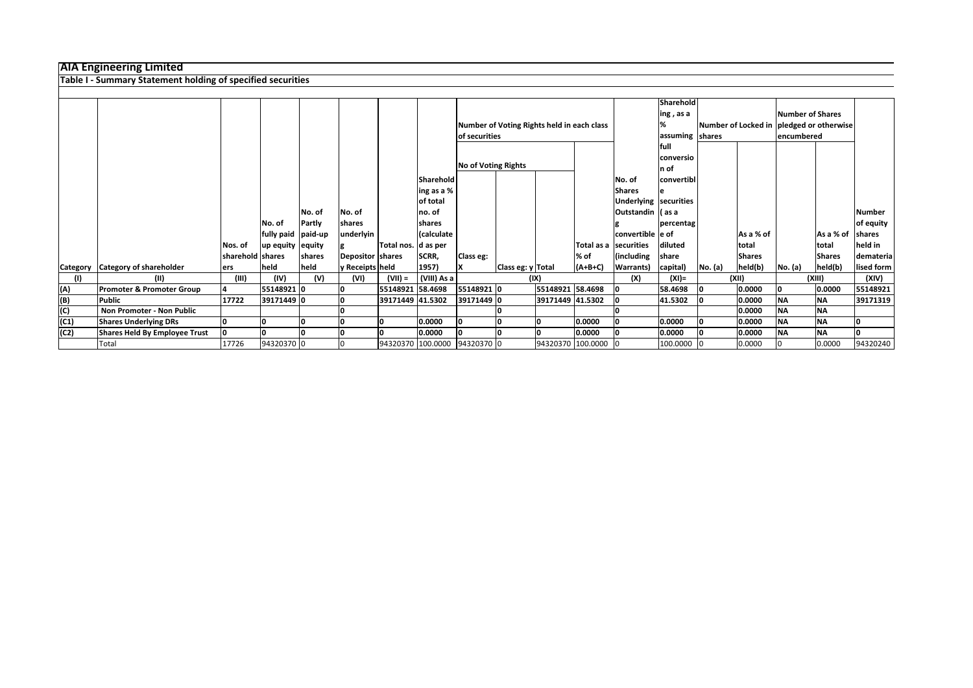|                   | Table I - Summary Statement holding of specified securities |                  |                      |        |                  |                              |                  |               |                            |                                            |                     |                       |             |         |               |                  |                                          |               |
|-------------------|-------------------------------------------------------------|------------------|----------------------|--------|------------------|------------------------------|------------------|---------------|----------------------------|--------------------------------------------|---------------------|-----------------------|-------------|---------|---------------|------------------|------------------------------------------|---------------|
|                   |                                                             |                  |                      |        |                  |                              |                  |               |                            |                                            |                     |                       |             |         |               |                  |                                          |               |
|                   |                                                             |                  |                      |        |                  |                              |                  |               |                            |                                            |                     |                       | Sharehold   |         |               |                  |                                          |               |
|                   |                                                             |                  |                      |        |                  |                              |                  |               |                            |                                            |                     |                       | ing, as a   |         |               | Number of Shares |                                          |               |
|                   |                                                             |                  |                      |        |                  |                              |                  |               |                            | Number of Voting Rights held in each class |                     |                       |             |         |               |                  | Number of Locked in pledged or otherwise |               |
|                   |                                                             |                  |                      |        |                  |                              |                  | of securities |                            |                                            |                     |                       | assuming    | shares  |               | encumbered       |                                          |               |
|                   |                                                             |                  |                      |        |                  |                              |                  |               |                            |                                            |                     |                       | <b>full</b> |         |               |                  |                                          |               |
|                   |                                                             |                  |                      |        |                  |                              |                  |               |                            |                                            |                     |                       | conversio   |         |               |                  |                                          |               |
|                   |                                                             |                  |                      |        |                  |                              |                  |               | <b>No of Voting Rights</b> |                                            |                     |                       | In of       |         |               |                  |                                          |               |
|                   |                                                             |                  |                      |        |                  |                              | <b>Sharehold</b> |               |                            |                                            |                     | INo. of               | convertibl  |         |               |                  |                                          |               |
|                   |                                                             |                  |                      |        |                  |                              | ing as a %       |               |                            |                                            |                     | <b>Shares</b>         |             |         |               |                  |                                          |               |
|                   |                                                             |                  |                      |        |                  |                              | of total         |               |                            |                                            |                     | Underlying securities |             |         |               |                  |                                          |               |
|                   |                                                             |                  |                      | No. of | No. of           |                              | lno. of          |               |                            |                                            |                     | Outstandin   (as a    |             |         |               |                  |                                          | <b>Number</b> |
|                   |                                                             |                  | No. of               | Partly | shares           |                              | <b>Ishares</b>   |               |                            |                                            |                     |                       | percentag   |         |               |                  |                                          | of equity     |
|                   |                                                             |                  | fully paid   paid-up |        | underlyin        |                              | (calculate       |               |                            |                                            |                     | convertible e of      |             |         | As a % of     |                  | As a % of                                | shares        |
|                   |                                                             | Nos. of          | up equity equity     |        |                  | Total nos. d as per          |                  |               |                            |                                            |                     | Total as a Securities | diluted     |         | total         |                  | total                                    | held in       |
|                   |                                                             | sharehold shares |                      | shares | Depositor shares |                              | SCRR,            | Class eg:     |                            |                                            | % of                | (including            | share       |         | <b>Shares</b> |                  | <b>Shares</b>                            | demateria     |
| <b>Category</b>   | <b>Category of shareholder</b>                              | ers              | held                 | held   | y Receipts held  |                              | 1957)            |               | Class eg: y Total          |                                            | (A+B+C)             | <b>Warrants</b> )     | capital)    | No. (a) | held(b)       | No. (a)          | held(b)                                  | lised form    |
| (1)               | (II)                                                        | (III)            | (IV)                 | (V)    | (VI)             | $(VII) =$                    | (VIII) As a      |               |                            | (IX)                                       |                     | (X)                   | $(XI) =$    |         | (XII)         |                  | (XIII)                                   | (XIV)         |
| (A)               | <b>Promoter &amp; Promoter Group</b>                        |                  | 55148921 0           |        |                  | 55148921 58.4698             |                  | 55148921 0    |                            | 55148921 58.4698                           |                     | ١o                    | 58.4698     | 10      | 0.0000        |                  | 0.0000                                   | 55148921      |
|                   | <b>Public</b>                                               | 17722            | 39171449 0           |        |                  | 39171449 41.5302             |                  | 39171449 0    |                            | 39171449 41.5302                           |                     |                       | 41.5302     |         | 0.0000        | <b>NA</b>        | <b>NA</b>                                | 39171319      |
| $\frac{(B)}{(C)}$ | Non Promoter - Non Public                                   |                  |                      |        |                  |                              |                  |               |                            |                                            |                     |                       |             |         | 0.0000        | <b>NA</b>        | <b>NA</b>                                |               |
| (C1)              | <b>Shares Underlying DRs</b>                                |                  | I٥                   |        |                  |                              | 0.0000           | 0             |                            |                                            | 0.0000              |                       | 0.0000      | 10      | 0.0000        | <b>NA</b>        | <b>NA</b>                                |               |
| (C2)              | <b>Shares Held By Employee Trust</b>                        |                  | ١o                   |        |                  |                              | 0.0000           |               |                            |                                            | 0.0000              |                       | 0.0000      | 10      | 0.0000        | <b>NA</b>        | <b>NA</b>                                |               |
|                   | Total                                                       | 17726            | 94320370 0           |        |                  | 94320370 100.0000 94320370 0 |                  |               |                            |                                            | 94320370 100.0000 0 |                       | 100.0000 0  |         | 0.0000        |                  | 0.0000                                   | 94320240      |

## **AIA Engineering Limited**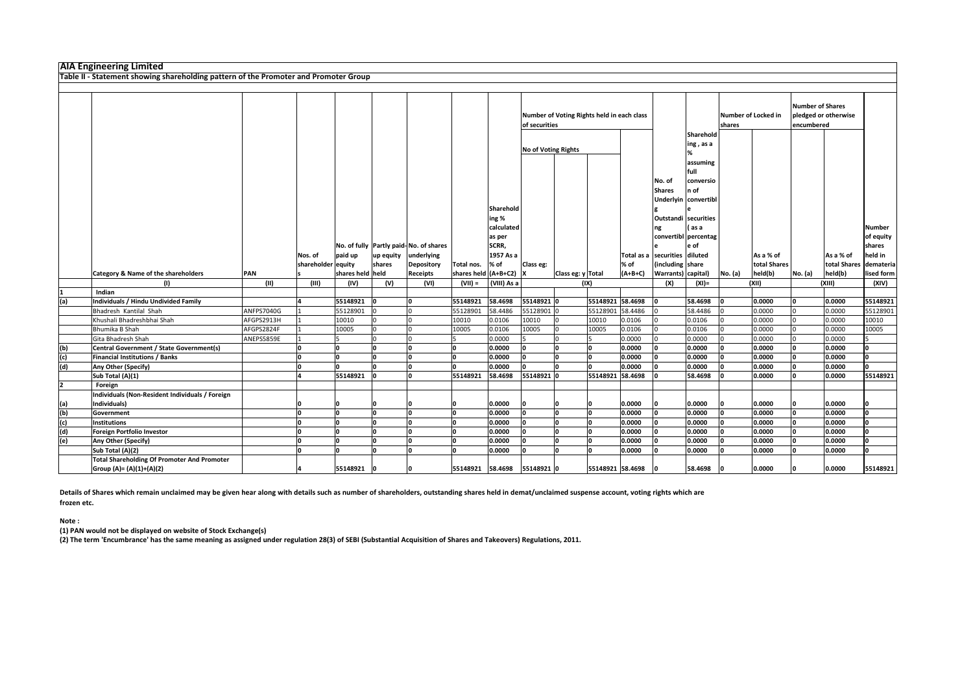|     | <b>AIA Engineering Limited</b>                                                       |            |                               |                  |                     |                                                                    |                                |                                                             |                     |                                            |                    |                                                                                      |                                                                                       |         |                           |                                |                           |                                                              |
|-----|--------------------------------------------------------------------------------------|------------|-------------------------------|------------------|---------------------|--------------------------------------------------------------------|--------------------------------|-------------------------------------------------------------|---------------------|--------------------------------------------|--------------------|--------------------------------------------------------------------------------------|---------------------------------------------------------------------------------------|---------|---------------------------|--------------------------------|---------------------------|--------------------------------------------------------------|
|     | Table II - Statement showing shareholding pattern of the Promoter and Promoter Group |            |                               |                  |                     |                                                                    |                                |                                                             |                     |                                            |                    |                                                                                      |                                                                                       |         |                           |                                |                           |                                                              |
|     |                                                                                      |            |                               |                  |                     |                                                                    |                                |                                                             |                     |                                            |                    |                                                                                      |                                                                                       |         |                           |                                |                           |                                                              |
|     |                                                                                      |            |                               |                  |                     |                                                                    |                                |                                                             | of securities       | Number of Voting Rights held in each class |                    |                                                                                      | Sharehold                                                                             | shares  | Number of Locked in       | Number of Shares<br>encumbered | pledged or otherwise      |                                                              |
|     |                                                                                      |            |                               |                  |                     |                                                                    |                                | Sharehold                                                   | No of Voting Rights |                                            |                    | No. of<br><b>Shares</b>                                                              | $\ln g$ , as a<br>assuming<br> full<br>conversio<br>$ n$ of<br>Underlyin   convertibl |         |                           |                                |                           |                                                              |
|     |                                                                                      |            | Nos. of<br>shareholder equity | paid up          | up equity<br>shares | No. of fully Partly paid-No. of shares<br>underlying<br>Depository | Total nos.                     | ing %<br>calculated<br>as per<br>SCRR,<br>1957 As a<br>% of | Class eg:           |                                            | % of               | Outstandi   securities<br>ng<br>Total as a  securities   diluted<br>(including share | l (as a<br>convertibl percentag<br>e of                                               |         | As a % of<br>total Shares |                                | As a % of<br>total Shares | <b>Number</b><br>of equity<br>shares<br>held in<br>demateria |
|     | <b>Category &amp; Name of the shareholders</b>                                       | PAN        |                               | shares held held |                     | <b>Receipts</b>                                                    | shares held $(A+B+C2)$ X       |                                                             |                     | Class eg: y Total                          | $(A+B+C)$          | <b>Warrants</b> ) capital)                                                           |                                                                                       | No. (a) | held(b)                   | No. (a)                        | held(b)                   | lised form                                                   |
|     |                                                                                      | (11)       | (III)                         | (IV)             | (V)                 | (VI)                                                               | $(VII) =$                      | (VIII) As a                                                 |                     | (IX)                                       |                    | (X)                                                                                  | $(XI) =$                                                                              |         | (XII)                     |                                | (XIII)                    | (XIV)                                                        |
|     | Indian                                                                               |            |                               |                  |                     |                                                                    |                                |                                                             |                     |                                            |                    |                                                                                      |                                                                                       |         |                           |                                |                           |                                                              |
| (a) | Individuals / Hindu Undivided Family                                                 |            |                               | 55148921         |                     |                                                                    | 55148921                       | 58.4698                                                     | 55148921 0          |                                            | 55148921 58.4698   |                                                                                      | 58.4698                                                                               |         | 0.0000                    |                                | 0.0000                    | 55148921                                                     |
|     | Bhadresh Kantilal Shah                                                               | ANFPS7040G |                               | 55128901         |                     |                                                                    | 55128901                       | 58.4486                                                     | 55128901            |                                            | 55128901 58.4486   |                                                                                      | 58.4486                                                                               |         | 0.0000                    |                                | 0.0000                    | 55128901                                                     |
|     | Khushali Bhadreshbhai Shah                                                           | AFGPS2913H |                               | 10010            |                     |                                                                    | 10010                          | 0.0106                                                      | 10010               | 10010                                      | 0.0106             |                                                                                      | 0.0106                                                                                |         | 0.0000                    |                                | 0.0000                    | 10010                                                        |
|     | Bhumika B Shah                                                                       | AFGPS2824F |                               | 10005            |                     |                                                                    | 10005                          | 0.0106                                                      | 10005               | 10005                                      | 0.0106             |                                                                                      | 0.0106                                                                                |         | 0.0000                    |                                | 0.0000                    | 10005                                                        |
|     | Gita Bhadresh Shah                                                                   | ANEPS5859E |                               |                  |                     |                                                                    |                                | 0.0000                                                      |                     |                                            | 0.0000             |                                                                                      | 0.0000                                                                                |         | 0.0000                    |                                | 0.0000                    |                                                              |
| (b) | Central Government / State Government(s)                                             |            |                               |                  |                     |                                                                    |                                | 0.0000                                                      | ١n                  |                                            | 0.0000             |                                                                                      | 0.0000                                                                                |         | 0.0000                    |                                | 0.0000                    | I٥                                                           |
| (c) | <b>Financial Institutions / Banks</b>                                                |            |                               | 10               |                     | ١o                                                                 | I۵                             | 0.0000                                                      | $ 0\rangle$         | 10<br>١o                                   | 0.0000             | ١o                                                                                   | 0.0000                                                                                | ١n      | 0.0000                    | l0.                            | 0.0000                    | 10                                                           |
| (d) | <b>Any Other (Specify)</b>                                                           |            |                               | I∩               |                     |                                                                    |                                | 0.0000                                                      |                     |                                            | 0.0000             |                                                                                      | 0.0000                                                                                |         | 0.0000                    |                                | 0.0000                    | l٥                                                           |
|     | Sub Total (A)(1)                                                                     |            |                               | 55148921         |                     |                                                                    | 55148921                       | 58.4698                                                     | 55148921 0          |                                            | 55148921 58.4698   |                                                                                      | 58.4698                                                                               |         | 0.0000                    |                                | 0.0000                    | 55148921                                                     |
|     | Foreign                                                                              |            |                               |                  |                     |                                                                    |                                |                                                             |                     |                                            |                    |                                                                                      |                                                                                       |         |                           |                                |                           |                                                              |
|     | Individuals (Non-Resident Individuals / Foreign                                      |            |                               |                  |                     |                                                                    |                                |                                                             |                     |                                            |                    |                                                                                      |                                                                                       |         |                           |                                |                           |                                                              |
| (a) | Individuals)                                                                         |            |                               |                  |                     |                                                                    |                                | 0.0000                                                      |                     |                                            | 0.0000             | חו                                                                                   | 0.0000                                                                                |         | 0.0000                    |                                | 0.0000                    |                                                              |
| (b) | Government                                                                           |            |                               | I∩               |                     |                                                                    |                                | 0.0000                                                      |                     |                                            | 0.0000             |                                                                                      | 0.0000                                                                                |         | 0.0000                    |                                | 0.0000                    | l0                                                           |
| (c) | Institutions                                                                         |            |                               |                  |                     |                                                                    |                                | 0.0000                                                      |                     |                                            | 0.0000             |                                                                                      | 0.0000                                                                                |         | 0.0000                    |                                | 0.0000                    | I٥                                                           |
| (d) | <b>Foreign Portfolio Investor</b>                                                    |            |                               |                  |                     |                                                                    |                                | 0.0000                                                      |                     |                                            | 0.0000             |                                                                                      | 0.0000                                                                                |         | 0.0000                    |                                | 0.0000                    | I٥                                                           |
| (e) | <b>Any Other (Specify)</b>                                                           |            |                               |                  |                     |                                                                    |                                | 0.0000                                                      |                     |                                            | 0.0000             |                                                                                      | 0.0000                                                                                |         | 0.0000                    |                                | 0.0000                    | l٥                                                           |
|     | Sub Total (A)(2)                                                                     |            |                               | I∩               |                     |                                                                    |                                | 0.0000                                                      |                     | n                                          | 0.0000             |                                                                                      | 0.0000                                                                                |         | 0.0000                    |                                | 0.0000                    | I٥                                                           |
|     | <b>Total Shareholding Of Promoter And Promoter</b><br>$ Group(A)=(A)(1)+(A)(2) $     |            |                               | 55148921 0       |                     |                                                                    | 55148921  58.4698  55148921  0 |                                                             |                     |                                            | 55148921 58.4698 0 |                                                                                      | 58.4698                                                                               |         | 0.0000                    |                                | 0.0000                    | 55148921                                                     |

**(1) PAN would not be displayed on website of Stock Exchange(s)** 

**(2) The term 'Encumbrance' has the same meaning as assigned under regulation 28(3) of SEBI (Substantial Acquisition of Shares and Takeovers) Regulations, 2011.**

**Details of Shares which remain unclaimed may be given hear along with details such as number of shareholders, outstanding shares held in demat/unclaimed suspense account, voting rights which are frozen etc.**

**Note :**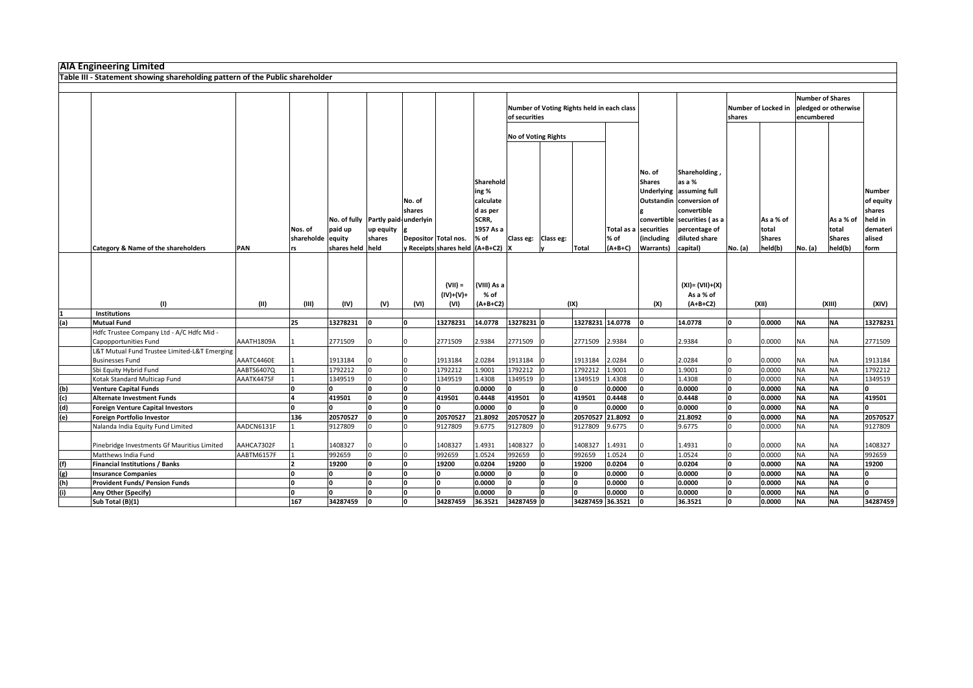| Table III - Statement showing shareholding pattern of the Public shareholder<br><b>Number of Shares</b><br>Number of Locked in<br>pledged or otherwise<br>Number of Voting Rights held in each class<br>of securities<br>encumbered<br>shares<br>No of Voting Rights<br>Shareholding,<br>No. of<br>as a %<br>Sharehold<br><b>Shares</b><br>ing %<br>Underlying assuming full<br><b>Number</b><br>Outstandin conversion of<br>No. of<br>calculate<br>convertible<br>d as per<br>shares<br>shares<br>SCRR,<br>No. of fully   Partly paid-underlyin<br>convertible securities (as a<br>held in<br>As a % of<br>As a % of<br>1957 As a<br>paid up<br>Total as a securities<br>total<br>Nos. of<br>up equity g<br>percentage of<br>total<br>$%$ of<br>(including<br>diluted share<br>shareholde equity<br>shares<br>Depositor Total nos.<br>% of<br>Class eg: $\vert$ Class eg:<br><b>Shares</b><br>alised<br><b>Shares</b><br>shares held held<br>held(b)<br><b>PAN</b><br>y Receipts shares held (A+B+C2)  X<br>Total<br>$(A+B+C)$<br>No. (a)<br>held(b)<br><b>Category &amp; Name of the shareholders</b><br>Warrants) capital)<br>No. (a)<br>form<br>(VIII) As a<br>$(XI) = (VII)+(X)$<br>$(VII) =$<br>$(IV)+(V)+$<br>$%$ of<br>As a % of<br>(1)<br>(11)<br>(IX)<br>(III)<br>(IV)<br>(V)<br>(VI)<br>$(A+B+C2)$<br>(X)<br>$(A+B+C2)$<br>(XII)<br>(XIII)<br>(XIV)<br>(VI)<br><b>Institutions</b><br>(a)<br>14.0778<br>13278231 0<br>13278231 14.0778<br>0.0000<br>25<br>13278231<br>13278231<br>l٥<br><b>NA</b><br>13278231<br><b>Mutual Fund</b><br>14.0778<br><b>NA</b><br>Hdfc Trustee Company Ltd - A/C Hdfc Mid -<br>2.9384<br>2771509<br>2.9384<br>2.9384<br>2771509<br>Capopportunities Fund<br>AAATH1809A<br>2771509<br>2771509<br>2771509<br>0.0000<br><b>NA</b><br>NA<br>L&T Mutual Fund Trustee Limited-L&T Emerging<br><b>Businesses Fund</b><br>AAATC4460E<br>1913184<br>1913184<br>2.0284<br>1913184 0<br>1913184 2.0284<br>2.0284<br>0.0000<br><b>NA</b><br>1913184<br>$10-10$<br>10<br>NA.<br><b>NA</b><br>1792212 0<br>1792212<br>1.9001<br>1792212<br>1792212<br>1.9001<br>1.9001<br>0<br>0.0000<br>1792212<br>Sbi Equity Hybrid Fund<br>AABTS6407Q<br>NΑ<br>0.0000<br>1349519<br>1.4308<br><b>NA</b><br>Kotak Standard Multicap Fund<br>AAATK4475F<br>1349519<br>1349519<br>1.4308<br>1349519<br>1.4308<br>1349519<br>IO.<br>ΝA<br>(b)<br>0.0000<br>0.0000<br>0.0000<br>0.0000<br><b>NA</b><br><b>Venture Capital Funds</b><br><b>NA</b><br>10<br>I٥<br>$\overline{c}$<br>419501<br>0.4448<br>419501<br>419501<br>0.4448<br>0.0000<br><b>Alternate Investment Funds</b><br>419501<br>0.4448<br><b>NA</b><br>419501<br><b>NA</b><br>I٥<br>(d)<br>0.0000<br>0.0000<br>0.0000<br>I٥<br>0.0000<br><b>NA</b><br><b>Foreign Venture Capital Investors</b><br>I٥<br><b>NA</b><br>n.<br>١n<br>(e)<br>20570527 0<br>20570527 21.8092<br>136<br>20570527<br>20570527<br>21.8092<br>21.8092<br>10<br>0.0000<br><b>NA</b><br>20570527<br>Foreign Portfolio Investor<br><b>NA</b><br>Nalanda India Equity Fund Limited<br>AADCN6131F<br>9127809<br>9.6775<br>9127809<br>9127809<br>9.6775<br>9.6775<br>0.0000<br><b>NA</b><br>9127809<br>9127809<br><b>NA</b><br>IO.<br>AAHCA7302F<br>1408327<br>1408327<br>1.4931<br>1408327<br>1408327<br>1.4931<br>0.0000<br>1408327<br>Pinebridge Investments Gf Mauritius Limited<br>1.4931<br><b>NA</b><br>NA<br>992659<br>1.0524<br>992659<br>992659<br>1.0524<br>1.0524<br>0.0000<br><b>NA</b><br>992659<br>Matthews India Fund<br>AABTM6157F<br>992659<br>I0 -<br><b>NA</b><br>(f)<br><b>Financial Institutions / Banks</b><br>0.0204<br> 0.0204 <br>0.0204<br>0.0000<br><b>NA</b><br>19200<br>19200<br>19200<br>l0<br><b>NA</b><br>19200<br>19200<br>(g)<br>0.0000<br>0.0000<br><b>NA</b><br>0.0000<br>0.0000<br><b>NA</b><br><b>Insurance Companies</b><br>I٥<br>I٥<br>(h)<br><b>Provident Funds/ Pension Funds</b><br>0.0000<br>0.0000<br>0.0000<br><b>NA</b><br>I٥<br>0.0000<br>I٥<br><b>NA</b><br>I٥<br>I٥<br>(i)<br>0.0000<br>0.0000<br><b>NA</b><br>l٥<br>Any Other (Specify)<br>I∩<br>I٥<br>0.0000<br>10<br>0.0000<br><b>NA</b> | <b>AIA Engineering Limited</b> |     |          |  |          |         |            |  |  |         |    |        |           |           |                             |
|-------------------------------------------------------------------------------------------------------------------------------------------------------------------------------------------------------------------------------------------------------------------------------------------------------------------------------------------------------------------------------------------------------------------------------------------------------------------------------------------------------------------------------------------------------------------------------------------------------------------------------------------------------------------------------------------------------------------------------------------------------------------------------------------------------------------------------------------------------------------------------------------------------------------------------------------------------------------------------------------------------------------------------------------------------------------------------------------------------------------------------------------------------------------------------------------------------------------------------------------------------------------------------------------------------------------------------------------------------------------------------------------------------------------------------------------------------------------------------------------------------------------------------------------------------------------------------------------------------------------------------------------------------------------------------------------------------------------------------------------------------------------------------------------------------------------------------------------------------------------------------------------------------------------------------------------------------------------------------------------------------------------------------------------------------------------------------------------------------------------------------------------------------------------------------------------------------------------------------------------------------------------------------------------------------------------------------------------------------------------------------------------------------------------------------------------------------------------------------------------------------------------------------------------------------------------------------------------------------------------------------------------------------------------------------------------------------------------------------------------------------------------------------------------------------------------------------------------------------------------------------------------------------------------------------------------------------------------------------------------------------------------------------------------------------------------------------------------------------------------------------------------------------------------------------------------------------------------------------------------------------------------------------------------------------------------------------------------------------------------------------------------------------------------------------------------------------------------------------------------------------------------------------------------------------------------------------------------------------------------------------------------------------------------------------------------------------------------------------------------------------------------------------------------------------------------------------------------------------------------------------------------------------------------------------------------------------------------------------------------------------------------------------------------------------------------------------------|--------------------------------|-----|----------|--|----------|---------|------------|--|--|---------|----|--------|-----------|-----------|-----------------------------|
|                                                                                                                                                                                                                                                                                                                                                                                                                                                                                                                                                                                                                                                                                                                                                                                                                                                                                                                                                                                                                                                                                                                                                                                                                                                                                                                                                                                                                                                                                                                                                                                                                                                                                                                                                                                                                                                                                                                                                                                                                                                                                                                                                                                                                                                                                                                                                                                                                                                                                                                                                                                                                                                                                                                                                                                                                                                                                                                                                                                                                                                                                                                                                                                                                                                                                                                                                                                                                                                                                                                                                                                                                                                                                                                                                                                                                                                                                                                                                                                                                                                                                     |                                |     |          |  |          |         |            |  |  |         |    |        |           |           |                             |
|                                                                                                                                                                                                                                                                                                                                                                                                                                                                                                                                                                                                                                                                                                                                                                                                                                                                                                                                                                                                                                                                                                                                                                                                                                                                                                                                                                                                                                                                                                                                                                                                                                                                                                                                                                                                                                                                                                                                                                                                                                                                                                                                                                                                                                                                                                                                                                                                                                                                                                                                                                                                                                                                                                                                                                                                                                                                                                                                                                                                                                                                                                                                                                                                                                                                                                                                                                                                                                                                                                                                                                                                                                                                                                                                                                                                                                                                                                                                                                                                                                                                                     |                                |     |          |  |          |         |            |  |  |         |    |        |           |           |                             |
|                                                                                                                                                                                                                                                                                                                                                                                                                                                                                                                                                                                                                                                                                                                                                                                                                                                                                                                                                                                                                                                                                                                                                                                                                                                                                                                                                                                                                                                                                                                                                                                                                                                                                                                                                                                                                                                                                                                                                                                                                                                                                                                                                                                                                                                                                                                                                                                                                                                                                                                                                                                                                                                                                                                                                                                                                                                                                                                                                                                                                                                                                                                                                                                                                                                                                                                                                                                                                                                                                                                                                                                                                                                                                                                                                                                                                                                                                                                                                                                                                                                                                     |                                |     |          |  |          |         |            |  |  |         |    |        |           |           |                             |
|                                                                                                                                                                                                                                                                                                                                                                                                                                                                                                                                                                                                                                                                                                                                                                                                                                                                                                                                                                                                                                                                                                                                                                                                                                                                                                                                                                                                                                                                                                                                                                                                                                                                                                                                                                                                                                                                                                                                                                                                                                                                                                                                                                                                                                                                                                                                                                                                                                                                                                                                                                                                                                                                                                                                                                                                                                                                                                                                                                                                                                                                                                                                                                                                                                                                                                                                                                                                                                                                                                                                                                                                                                                                                                                                                                                                                                                                                                                                                                                                                                                                                     |                                |     |          |  |          |         |            |  |  |         |    |        |           |           | $of$ equity $ $<br>demateri |
|                                                                                                                                                                                                                                                                                                                                                                                                                                                                                                                                                                                                                                                                                                                                                                                                                                                                                                                                                                                                                                                                                                                                                                                                                                                                                                                                                                                                                                                                                                                                                                                                                                                                                                                                                                                                                                                                                                                                                                                                                                                                                                                                                                                                                                                                                                                                                                                                                                                                                                                                                                                                                                                                                                                                                                                                                                                                                                                                                                                                                                                                                                                                                                                                                                                                                                                                                                                                                                                                                                                                                                                                                                                                                                                                                                                                                                                                                                                                                                                                                                                                                     |                                |     |          |  |          |         |            |  |  |         |    |        |           |           |                             |
|                                                                                                                                                                                                                                                                                                                                                                                                                                                                                                                                                                                                                                                                                                                                                                                                                                                                                                                                                                                                                                                                                                                                                                                                                                                                                                                                                                                                                                                                                                                                                                                                                                                                                                                                                                                                                                                                                                                                                                                                                                                                                                                                                                                                                                                                                                                                                                                                                                                                                                                                                                                                                                                                                                                                                                                                                                                                                                                                                                                                                                                                                                                                                                                                                                                                                                                                                                                                                                                                                                                                                                                                                                                                                                                                                                                                                                                                                                                                                                                                                                                                                     |                                |     |          |  |          |         |            |  |  |         |    |        |           |           |                             |
|                                                                                                                                                                                                                                                                                                                                                                                                                                                                                                                                                                                                                                                                                                                                                                                                                                                                                                                                                                                                                                                                                                                                                                                                                                                                                                                                                                                                                                                                                                                                                                                                                                                                                                                                                                                                                                                                                                                                                                                                                                                                                                                                                                                                                                                                                                                                                                                                                                                                                                                                                                                                                                                                                                                                                                                                                                                                                                                                                                                                                                                                                                                                                                                                                                                                                                                                                                                                                                                                                                                                                                                                                                                                                                                                                                                                                                                                                                                                                                                                                                                                                     |                                |     |          |  |          |         |            |  |  |         |    |        |           |           |                             |
|                                                                                                                                                                                                                                                                                                                                                                                                                                                                                                                                                                                                                                                                                                                                                                                                                                                                                                                                                                                                                                                                                                                                                                                                                                                                                                                                                                                                                                                                                                                                                                                                                                                                                                                                                                                                                                                                                                                                                                                                                                                                                                                                                                                                                                                                                                                                                                                                                                                                                                                                                                                                                                                                                                                                                                                                                                                                                                                                                                                                                                                                                                                                                                                                                                                                                                                                                                                                                                                                                                                                                                                                                                                                                                                                                                                                                                                                                                                                                                                                                                                                                     |                                |     |          |  |          |         |            |  |  |         |    |        |           |           |                             |
|                                                                                                                                                                                                                                                                                                                                                                                                                                                                                                                                                                                                                                                                                                                                                                                                                                                                                                                                                                                                                                                                                                                                                                                                                                                                                                                                                                                                                                                                                                                                                                                                                                                                                                                                                                                                                                                                                                                                                                                                                                                                                                                                                                                                                                                                                                                                                                                                                                                                                                                                                                                                                                                                                                                                                                                                                                                                                                                                                                                                                                                                                                                                                                                                                                                                                                                                                                                                                                                                                                                                                                                                                                                                                                                                                                                                                                                                                                                                                                                                                                                                                     |                                |     |          |  |          |         |            |  |  |         |    |        |           |           |                             |
|                                                                                                                                                                                                                                                                                                                                                                                                                                                                                                                                                                                                                                                                                                                                                                                                                                                                                                                                                                                                                                                                                                                                                                                                                                                                                                                                                                                                                                                                                                                                                                                                                                                                                                                                                                                                                                                                                                                                                                                                                                                                                                                                                                                                                                                                                                                                                                                                                                                                                                                                                                                                                                                                                                                                                                                                                                                                                                                                                                                                                                                                                                                                                                                                                                                                                                                                                                                                                                                                                                                                                                                                                                                                                                                                                                                                                                                                                                                                                                                                                                                                                     |                                |     |          |  |          |         |            |  |  |         |    |        |           |           |                             |
|                                                                                                                                                                                                                                                                                                                                                                                                                                                                                                                                                                                                                                                                                                                                                                                                                                                                                                                                                                                                                                                                                                                                                                                                                                                                                                                                                                                                                                                                                                                                                                                                                                                                                                                                                                                                                                                                                                                                                                                                                                                                                                                                                                                                                                                                                                                                                                                                                                                                                                                                                                                                                                                                                                                                                                                                                                                                                                                                                                                                                                                                                                                                                                                                                                                                                                                                                                                                                                                                                                                                                                                                                                                                                                                                                                                                                                                                                                                                                                                                                                                                                     |                                |     |          |  |          |         |            |  |  |         |    |        |           |           |                             |
|                                                                                                                                                                                                                                                                                                                                                                                                                                                                                                                                                                                                                                                                                                                                                                                                                                                                                                                                                                                                                                                                                                                                                                                                                                                                                                                                                                                                                                                                                                                                                                                                                                                                                                                                                                                                                                                                                                                                                                                                                                                                                                                                                                                                                                                                                                                                                                                                                                                                                                                                                                                                                                                                                                                                                                                                                                                                                                                                                                                                                                                                                                                                                                                                                                                                                                                                                                                                                                                                                                                                                                                                                                                                                                                                                                                                                                                                                                                                                                                                                                                                                     |                                |     |          |  |          |         |            |  |  |         |    |        |           |           |                             |
|                                                                                                                                                                                                                                                                                                                                                                                                                                                                                                                                                                                                                                                                                                                                                                                                                                                                                                                                                                                                                                                                                                                                                                                                                                                                                                                                                                                                                                                                                                                                                                                                                                                                                                                                                                                                                                                                                                                                                                                                                                                                                                                                                                                                                                                                                                                                                                                                                                                                                                                                                                                                                                                                                                                                                                                                                                                                                                                                                                                                                                                                                                                                                                                                                                                                                                                                                                                                                                                                                                                                                                                                                                                                                                                                                                                                                                                                                                                                                                                                                                                                                     |                                |     |          |  |          |         |            |  |  |         |    |        |           |           |                             |
|                                                                                                                                                                                                                                                                                                                                                                                                                                                                                                                                                                                                                                                                                                                                                                                                                                                                                                                                                                                                                                                                                                                                                                                                                                                                                                                                                                                                                                                                                                                                                                                                                                                                                                                                                                                                                                                                                                                                                                                                                                                                                                                                                                                                                                                                                                                                                                                                                                                                                                                                                                                                                                                                                                                                                                                                                                                                                                                                                                                                                                                                                                                                                                                                                                                                                                                                                                                                                                                                                                                                                                                                                                                                                                                                                                                                                                                                                                                                                                                                                                                                                     |                                |     |          |  |          |         |            |  |  |         |    |        |           |           |                             |
|                                                                                                                                                                                                                                                                                                                                                                                                                                                                                                                                                                                                                                                                                                                                                                                                                                                                                                                                                                                                                                                                                                                                                                                                                                                                                                                                                                                                                                                                                                                                                                                                                                                                                                                                                                                                                                                                                                                                                                                                                                                                                                                                                                                                                                                                                                                                                                                                                                                                                                                                                                                                                                                                                                                                                                                                                                                                                                                                                                                                                                                                                                                                                                                                                                                                                                                                                                                                                                                                                                                                                                                                                                                                                                                                                                                                                                                                                                                                                                                                                                                                                     |                                |     |          |  |          |         |            |  |  |         |    |        |           |           |                             |
|                                                                                                                                                                                                                                                                                                                                                                                                                                                                                                                                                                                                                                                                                                                                                                                                                                                                                                                                                                                                                                                                                                                                                                                                                                                                                                                                                                                                                                                                                                                                                                                                                                                                                                                                                                                                                                                                                                                                                                                                                                                                                                                                                                                                                                                                                                                                                                                                                                                                                                                                                                                                                                                                                                                                                                                                                                                                                                                                                                                                                                                                                                                                                                                                                                                                                                                                                                                                                                                                                                                                                                                                                                                                                                                                                                                                                                                                                                                                                                                                                                                                                     |                                |     |          |  |          |         |            |  |  |         |    |        |           |           |                             |
|                                                                                                                                                                                                                                                                                                                                                                                                                                                                                                                                                                                                                                                                                                                                                                                                                                                                                                                                                                                                                                                                                                                                                                                                                                                                                                                                                                                                                                                                                                                                                                                                                                                                                                                                                                                                                                                                                                                                                                                                                                                                                                                                                                                                                                                                                                                                                                                                                                                                                                                                                                                                                                                                                                                                                                                                                                                                                                                                                                                                                                                                                                                                                                                                                                                                                                                                                                                                                                                                                                                                                                                                                                                                                                                                                                                                                                                                                                                                                                                                                                                                                     |                                |     |          |  |          |         |            |  |  |         |    |        |           |           |                             |
|                                                                                                                                                                                                                                                                                                                                                                                                                                                                                                                                                                                                                                                                                                                                                                                                                                                                                                                                                                                                                                                                                                                                                                                                                                                                                                                                                                                                                                                                                                                                                                                                                                                                                                                                                                                                                                                                                                                                                                                                                                                                                                                                                                                                                                                                                                                                                                                                                                                                                                                                                                                                                                                                                                                                                                                                                                                                                                                                                                                                                                                                                                                                                                                                                                                                                                                                                                                                                                                                                                                                                                                                                                                                                                                                                                                                                                                                                                                                                                                                                                                                                     |                                |     |          |  |          |         |            |  |  |         |    |        |           |           |                             |
|                                                                                                                                                                                                                                                                                                                                                                                                                                                                                                                                                                                                                                                                                                                                                                                                                                                                                                                                                                                                                                                                                                                                                                                                                                                                                                                                                                                                                                                                                                                                                                                                                                                                                                                                                                                                                                                                                                                                                                                                                                                                                                                                                                                                                                                                                                                                                                                                                                                                                                                                                                                                                                                                                                                                                                                                                                                                                                                                                                                                                                                                                                                                                                                                                                                                                                                                                                                                                                                                                                                                                                                                                                                                                                                                                                                                                                                                                                                                                                                                                                                                                     |                                |     |          |  |          |         |            |  |  |         |    |        |           |           |                             |
|                                                                                                                                                                                                                                                                                                                                                                                                                                                                                                                                                                                                                                                                                                                                                                                                                                                                                                                                                                                                                                                                                                                                                                                                                                                                                                                                                                                                                                                                                                                                                                                                                                                                                                                                                                                                                                                                                                                                                                                                                                                                                                                                                                                                                                                                                                                                                                                                                                                                                                                                                                                                                                                                                                                                                                                                                                                                                                                                                                                                                                                                                                                                                                                                                                                                                                                                                                                                                                                                                                                                                                                                                                                                                                                                                                                                                                                                                                                                                                                                                                                                                     |                                |     |          |  |          |         |            |  |  |         |    |        |           |           |                             |
|                                                                                                                                                                                                                                                                                                                                                                                                                                                                                                                                                                                                                                                                                                                                                                                                                                                                                                                                                                                                                                                                                                                                                                                                                                                                                                                                                                                                                                                                                                                                                                                                                                                                                                                                                                                                                                                                                                                                                                                                                                                                                                                                                                                                                                                                                                                                                                                                                                                                                                                                                                                                                                                                                                                                                                                                                                                                                                                                                                                                                                                                                                                                                                                                                                                                                                                                                                                                                                                                                                                                                                                                                                                                                                                                                                                                                                                                                                                                                                                                                                                                                     |                                |     |          |  |          |         |            |  |  |         |    |        |           |           |                             |
|                                                                                                                                                                                                                                                                                                                                                                                                                                                                                                                                                                                                                                                                                                                                                                                                                                                                                                                                                                                                                                                                                                                                                                                                                                                                                                                                                                                                                                                                                                                                                                                                                                                                                                                                                                                                                                                                                                                                                                                                                                                                                                                                                                                                                                                                                                                                                                                                                                                                                                                                                                                                                                                                                                                                                                                                                                                                                                                                                                                                                                                                                                                                                                                                                                                                                                                                                                                                                                                                                                                                                                                                                                                                                                                                                                                                                                                                                                                                                                                                                                                                                     |                                |     |          |  |          |         |            |  |  |         |    |        |           |           |                             |
|                                                                                                                                                                                                                                                                                                                                                                                                                                                                                                                                                                                                                                                                                                                                                                                                                                                                                                                                                                                                                                                                                                                                                                                                                                                                                                                                                                                                                                                                                                                                                                                                                                                                                                                                                                                                                                                                                                                                                                                                                                                                                                                                                                                                                                                                                                                                                                                                                                                                                                                                                                                                                                                                                                                                                                                                                                                                                                                                                                                                                                                                                                                                                                                                                                                                                                                                                                                                                                                                                                                                                                                                                                                                                                                                                                                                                                                                                                                                                                                                                                                                                     |                                |     |          |  |          |         |            |  |  |         |    |        |           |           |                             |
| 34287459 36.3521                                                                                                                                                                                                                                                                                                                                                                                                                                                                                                                                                                                                                                                                                                                                                                                                                                                                                                                                                                                                                                                                                                                                                                                                                                                                                                                                                                                                                                                                                                                                                                                                                                                                                                                                                                                                                                                                                                                                                                                                                                                                                                                                                                                                                                                                                                                                                                                                                                                                                                                                                                                                                                                                                                                                                                                                                                                                                                                                                                                                                                                                                                                                                                                                                                                                                                                                                                                                                                                                                                                                                                                                                                                                                                                                                                                                                                                                                                                                                                                                                                                                    | $\vert$ Sub Total (B)(1)       | 167 | 34287459 |  | 34287459 | 36.3521 | 34287459 0 |  |  | 36.3521 | 10 | 0.0000 | <b>NA</b> | <b>NA</b> | 34287459                    |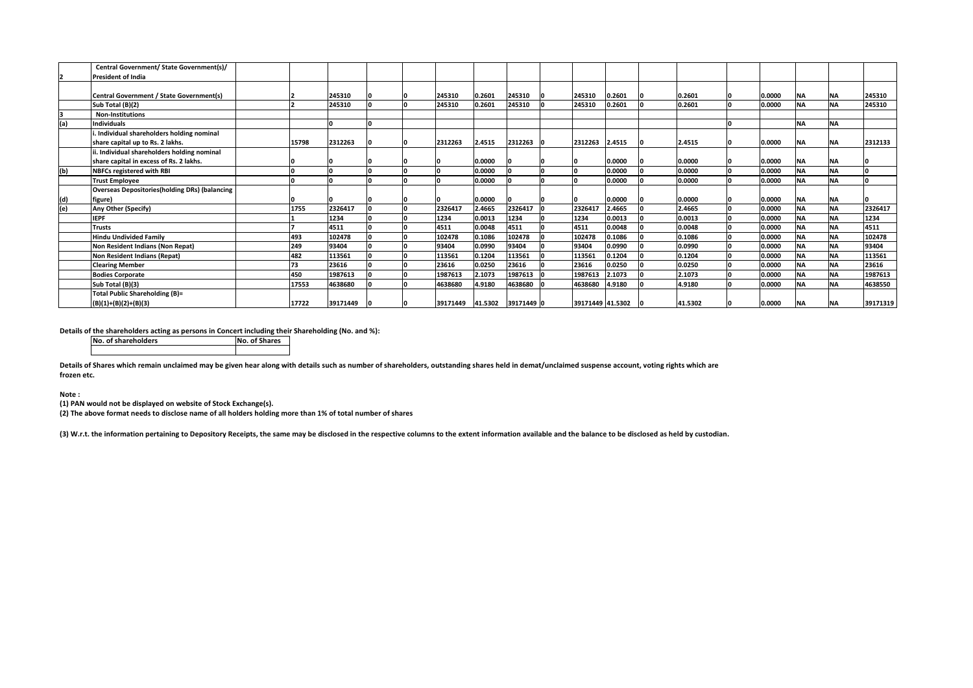|     | Central Government/ State Government(s)/              |       |          |  |                                |        |         |                  |        |         |        |           |           |          |
|-----|-------------------------------------------------------|-------|----------|--|--------------------------------|--------|---------|------------------|--------|---------|--------|-----------|-----------|----------|
|     | <b>President of India</b>                             |       |          |  |                                |        |         |                  |        |         |        |           |           |          |
|     |                                                       |       |          |  |                                |        |         |                  |        |         |        |           |           |          |
|     | Central Government / State Government(s)              |       | 245310   |  | 245310                         | 0.2601 | 245310  | 245310           | 0.2601 | 0.2601  | 0.0000 | <b>NA</b> | <b>NA</b> | 245310   |
|     | Sub Total (B)(2)                                      |       | 245310   |  | 245310                         | 0.2601 | 245310  | 245310           | 0.2601 | 0.2601  | 0.0000 | <b>NA</b> | <b>NA</b> | 245310   |
|     | <b>Non-Institutions</b>                               |       |          |  |                                |        |         |                  |        |         |        |           |           |          |
| (a) | <b>Individuals</b>                                    |       |          |  |                                |        |         |                  |        |         |        | <b>NA</b> | <b>NA</b> |          |
|     | Individual shareholders holding nominal               |       |          |  |                                |        |         |                  |        |         |        |           |           |          |
|     | share capital up to Rs. 2 lakhs.                      | 15798 | 2312263  |  | 2312263                        | 2.4515 | 2312263 | 2312263          | 2.4515 | 2.4515  | 0.0000 | <b>NA</b> | <b>NA</b> | 2312133  |
|     | . Individual shareholders holding nominal             |       |          |  |                                |        |         |                  |        |         |        |           |           |          |
|     | share capital in excess of Rs. 2 lakhs.               |       |          |  |                                | 0.0000 |         |                  | 0.0000 | 0.0000  | 0.0000 | <b>NA</b> | <b>NA</b> |          |
| (b) | <b>NBFCs registered with RBI</b>                      |       |          |  |                                | 0.0000 |         |                  | 0.0000 | 0.0000  | 0.0000 | <b>NA</b> | <b>NA</b> |          |
|     | <b>Trust Employee</b>                                 |       |          |  |                                | 0.0000 |         | I٥               | 0.0000 | 0.0000  | 0.0000 | <b>NA</b> | <b>NA</b> |          |
|     | <b>Overseas Depositories (holding DRs) (balancing</b> |       |          |  |                                |        |         |                  |        |         |        |           |           |          |
| (d) | figure)                                               |       |          |  |                                | 0.0000 |         |                  | 0.0000 | 0.0000  | 0.0000 | <b>NA</b> | <b>NA</b> |          |
| (e) | Any Other (Specify)                                   | 1755  | 2326417  |  | 2326417                        | 2.4665 | 2326417 | 2326417          | 2.4665 | 2.4665  | 0.0000 | <b>NA</b> | <b>NA</b> | 2326417  |
|     | <b>IEPF</b>                                           |       | 1234     |  | 1234                           | 0.0013 | 1234    | 1234             | 0.0013 | 0.0013  | 0.0000 | <b>NA</b> | <b>NA</b> | 1234     |
|     | <b>Trusts</b>                                         |       | 4511     |  | 4511                           | 0.0048 | 4511    | 4511             | 0.0048 | 0.0048  | 0.0000 | <b>NA</b> | <b>NA</b> | 4511     |
|     | <b>Hindu Undivided Family</b>                         | 493   | 102478   |  | 102478                         | 0.1086 | 102478  | 102478           | 0.1086 | 0.1086  | 0.0000 | <b>NA</b> | <b>NA</b> | 102478   |
|     | Non Resident Indians (Non Repat)                      | 249   | 93404    |  | 93404                          | 0.0990 | 93404   | 93404            | 0.0990 | 0.0990  | 0.0000 | <b>NA</b> | <b>NA</b> | 93404    |
|     | Non Resident Indians (Repat)                          | 482   | 113561   |  | 113561                         | 0.1204 | 113561  | 113561           | 0.1204 | 0.1204  | 0.0000 | <b>NA</b> | <b>NA</b> | 113561   |
|     | <b>Clearing Member</b>                                | 73    | 23616    |  | 23616                          | 0.0250 | 23616   | 23616            | 0.0250 | 0.0250  | 0.0000 | <b>NA</b> | <b>NA</b> | 23616    |
|     | <b>Bodies Corporate</b>                               | 450   | 1987613  |  | 1987613                        | 2.1073 | 1987613 | 1987613          | 2.1073 | 2.1073  | 0.0000 | <b>NA</b> | <b>NA</b> | 1987613  |
|     | Sub Total (B)(3)                                      | 17553 | 4638680  |  | 4638680                        | 4.9180 | 4638680 | 4638680          | 4.9180 | 4.9180  | 0.0000 | <b>NA</b> | <b>NA</b> | 4638550  |
|     | <b>Total Public Shareholding (B)=</b>                 |       |          |  |                                |        |         |                  |        |         |        |           |           |          |
|     | $(B)(1)+(B)(2)+(B)(3)$                                | 17722 | 39171449 |  | 39171449  41.5302  39171449  0 |        |         | 39171449 41.5302 |        | 41.5302 | 0.0000 | <b>NA</b> | <b>NA</b> | 39171319 |

Details of the shareholders acting as persons in Concert including their Shareholding (No. and %):<br>
No. of Shares

**No. of shareholders** 

**(2) The above format needs to disclose name of all holders holding more than 1% of total number of shares**

**(3) W.r.t. the information pertaining to Depository Receipts, the same may be disclosed in the respective columns to the extent information available and the balance to be disclosed as held by custodian.**

**Details of Shares which remain unclaimed may be given hear along with details such as number of shareholders, outstanding shares held in demat/unclaimed suspense account, voting rights which are frozen etc.**

**Note :**

**(1) PAN would not be displayed on website of Stock Exchange(s).**